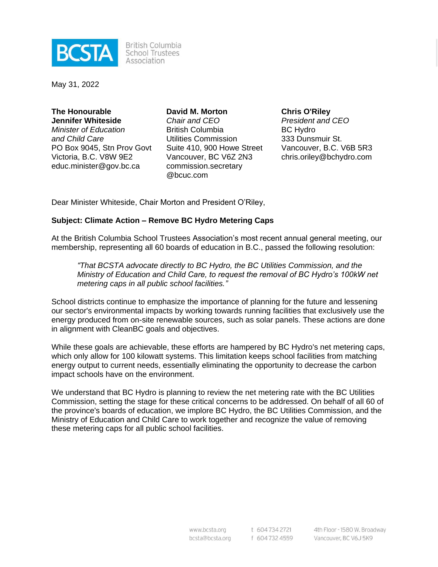

**British Columbia** School Trustees Association

May 31, 2022

**The Honourable Jennifer Whiteside** *Minister of Education and Child Care* PO Box 9045, Stn Prov Govt Victoria, B.C. V8W 9E2 educ.minister@gov.bc.ca

**David M. Morton** *Chair and CEO* British Columbia Utilities Commission Suite 410, 900 Howe Street Vancouver, BC V6Z 2N3 commission.secretary @bcuc.com

**Chris O'Riley** *President and CEO* BC Hydro 333 Dunsmuir St. Vancouver, B.C. V6B 5R3 chris.oriley@bchydro.com

Dear Minister Whiteside, Chair Morton and President O'Riley,

#### **Subject: Climate Action – Remove BC Hydro Metering Caps**

At the British Columbia School Trustees Association's most recent annual general meeting, our membership, representing all 60 boards of education in B.C., passed the following resolution:

*"That BCSTA advocate directly to BC Hydro, the BC Utilities Commission, and the Ministry of Education and Child Care, to request the removal of BC Hydro's 100kW net metering caps in all public school facilities."*

School districts continue to emphasize the importance of planning for the future and lessening our sector's environmental impacts by working towards running facilities that exclusively use the energy produced from on-site renewable sources, such as solar panels. These actions are done in alignment with CleanBC goals and objectives.

While these goals are achievable, these efforts are hampered by BC Hydro's net metering caps, which only allow for 100 kilowatt systems. This limitation keeps school facilities from matching energy output to current needs, essentially eliminating the opportunity to decrease the carbon impact schools have on the environment.

We understand that BC Hydro is planning to review the net metering rate with the BC Utilities Commission, setting the stage for these critical concerns to be addressed. On behalf of all 60 of the province's boards of education, we implore BC Hydro, the BC Utilities Commission, and the Ministry of Education and Child Care to work together and recognize the value of removing these metering caps for all public school facilities.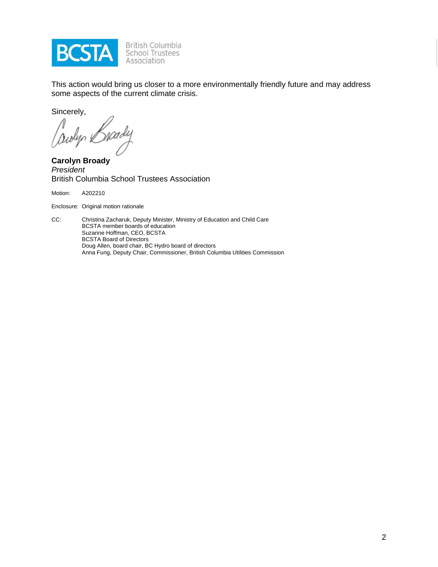

British Columbia<br>School Trustees Association

This action would bring us closer to a more environmentally friendly future and may address some aspects of the current climate crisis.

Sincerely,

awyn e

**Carolyn Broady** *President* British Columbia School Trustees Association

Motion: A202210

Enclosure: Original motion rationale

CC: Christina Zacharuk, Deputy Minister, Ministry of Education and Child Care BCSTA member boards of education Suzanne Hoffman, CEO, BCSTA BCSTA Board of Directors Doug Allen, board chair, BC Hydro board of directors Anna Fung, Deputy Chair, Commissioner, British Columbia Utilities Commission